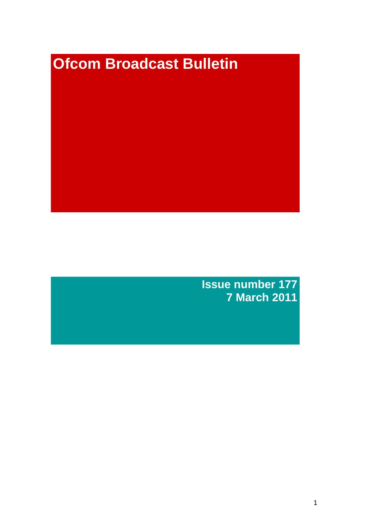# **Ofcom Broadcast Bulletin**

**Issue number 177 7 March 2011**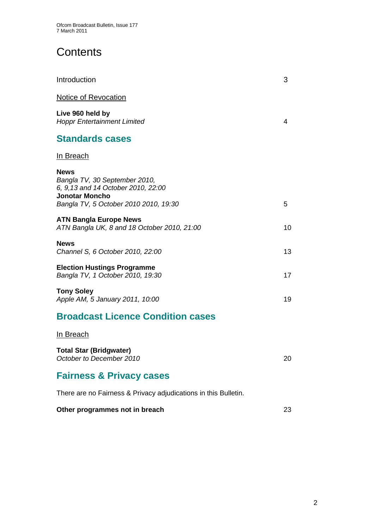# **Contents**

| Introduction                                                                                                                                          | 3  |
|-------------------------------------------------------------------------------------------------------------------------------------------------------|----|
| <b>Notice of Revocation</b>                                                                                                                           |    |
| Live 960 held by<br><b>Hoppr Entertainment Limited</b>                                                                                                | 4  |
| <b>Standards cases</b>                                                                                                                                |    |
| <u>In Breach</u>                                                                                                                                      |    |
| <b>News</b><br>Bangla TV, 30 September 2010,<br>6, 9, 13 and 14 October 2010, 22:00<br><b>Jonotar Moncho</b><br>Bangla TV, 5 October 2010 2010, 19:30 | 5  |
| <b>ATN Bangla Europe News</b><br>ATN Bangla UK, 8 and 18 October 2010, 21:00                                                                          | 10 |
| <b>News</b><br>Channel S, 6 October 2010, 22:00                                                                                                       | 13 |
| <b>Election Hustings Programme</b><br>Bangla TV, 1 October 2010, 19:30                                                                                | 17 |
| <b>Tony Soley</b><br>Apple AM, 5 January 2011, 10:00                                                                                                  | 19 |
| <b>Broadcast Licence Condition cases</b>                                                                                                              |    |
| <u>In Breach</u>                                                                                                                                      |    |
| <b>Total Star (Bridgwater)</b><br>October to December 2010                                                                                            | 20 |
| <b>Fairness &amp; Privacy cases</b>                                                                                                                   |    |
| There are no Fairness & Privacy adjudications in this Bulletin.                                                                                       |    |
| Other programmes not in breach                                                                                                                        | 23 |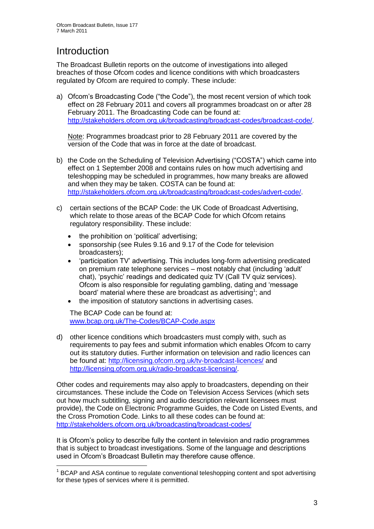# **Introduction**

1

The Broadcast Bulletin reports on the outcome of investigations into alleged breaches of those Ofcom codes and licence conditions with which broadcasters regulated by Ofcom are required to comply. These include:

a) Ofcom"s Broadcasting Code ("the Code"), the most recent version of which took effect on 28 February 2011 and covers all programmes broadcast on or after 28 February 2011. The Broadcasting Code can be found at: [http://stakeholders.ofcom.org.uk/broadcasting/broadcast-codes/broadcast-code/.](http://stakeholders.ofcom.org.uk/broadcasting/broadcast-codes/broadcast-code/)

Note: Programmes broadcast prior to 28 February 2011 are covered by the version of the Code that was in force at the date of broadcast.

- b) the Code on the Scheduling of Television Advertising ("COSTA") which came into effect on 1 September 2008 and contains rules on how much advertising and teleshopping may be scheduled in programmes, how many breaks are allowed and when they may be taken. COSTA can be found at: [http://stakeholders.ofcom.org.uk/broadcasting/broadcast-codes/advert-code/.](http://stakeholders.ofcom.org.uk/broadcasting/broadcast-codes/advert-code/)
- c) certain sections of the BCAP Code: the UK Code of Broadcast Advertising, which relate to those areas of the BCAP Code for which Ofcom retains regulatory responsibility. These include:
	- the prohibition on "political" advertising;
	- sponsorship (see Rules 9.16 and 9.17 of the Code for television broadcasters);
	- "participation TV" advertising. This includes long-form advertising predicated on premium rate telephone services – most notably chat (including "adult" chat), "psychic" readings and dedicated quiz TV (Call TV quiz services). Ofcom is also responsible for regulating gambling, dating and "message board' material where these are broadcast as advertising<sup>1</sup>; and
	- the imposition of statutory sanctions in advertising cases.

The BCAP Code can be found at: [www.bcap.org.uk/The-Codes/BCAP-Code.aspx](http://www.bcap.org.uk/The-Codes/BCAP-Code.aspx)

d) other licence conditions which broadcasters must comply with, such as requirements to pay fees and submit information which enables Ofcom to carry out its statutory duties. Further information on television and radio licences can be found at:<http://licensing.ofcom.org.uk/tv-broadcast-licences/> and [http://licensing.ofcom.org.uk/radio-broadcast-licensing/.](http://licensing.ofcom.org.uk/radio-broadcast-licensing/)

Other codes and requirements may also apply to broadcasters, depending on their circumstances. These include the Code on Television Access Services (which sets out how much subtitling, signing and audio description relevant licensees must provide), the Code on Electronic Programme Guides, the Code on Listed Events, and the Cross Promotion Code. Links to all these codes can be found at: <http://stakeholders.ofcom.org.uk/broadcasting/broadcast-codes/>

It is Ofcom"s policy to describe fully the content in television and radio programmes that is subject to broadcast investigations. Some of the language and descriptions used in Ofcom"s Broadcast Bulletin may therefore cause offence.

<sup>&</sup>lt;sup>1</sup> BCAP and ASA continue to regulate conventional teleshopping content and spot advertising for these types of services where it is permitted.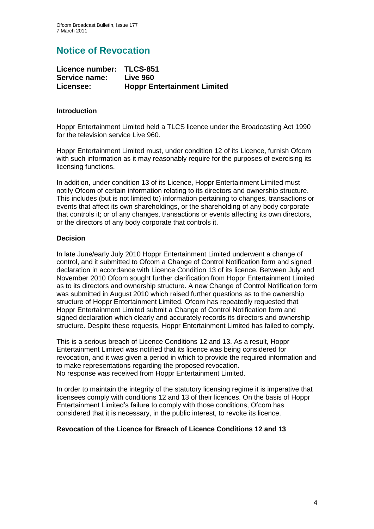# **Notice of Revocation**

| Licence number: TLCS-851 |                                    |
|--------------------------|------------------------------------|
| Service name:            | Live 960                           |
| Licensee:                | <b>Hoppr Entertainment Limited</b> |

### **Introduction**

Hoppr Entertainment Limited held a TLCS licence under the Broadcasting Act 1990 for the television service Live 960.

Hoppr Entertainment Limited must, under condition 12 of its Licence, furnish Ofcom with such information as it may reasonably require for the purposes of exercising its licensing functions.

In addition, under condition 13 of its Licence, Hoppr Entertainment Limited must notify Ofcom of certain information relating to its directors and ownership structure. This includes (but is not limited to) information pertaining to changes, transactions or events that affect its own shareholdings, or the shareholding of any body corporate that controls it; or of any changes, transactions or events affecting its own directors, or the directors of any body corporate that controls it.

### **Decision**

In late June/early July 2010 Hoppr Entertainment Limited underwent a change of control, and it submitted to Ofcom a Change of Control Notification form and signed declaration in accordance with Licence Condition 13 of its licence. Between July and November 2010 Ofcom sought further clarification from Hoppr Entertainment Limited as to its directors and ownership structure. A new Change of Control Notification form was submitted in August 2010 which raised further questions as to the ownership structure of Hoppr Entertainment Limited. Ofcom has repeatedly requested that Hoppr Entertainment Limited submit a Change of Control Notification form and signed declaration which clearly and accurately records its directors and ownership structure. Despite these requests, Hoppr Entertainment Limited has failed to comply.

This is a serious breach of Licence Conditions 12 and 13. As a result, Hoppr Entertainment Limited was notified that its licence was being considered for revocation, and it was given a period in which to provide the required information and to make representations regarding the proposed revocation. No response was received from Hoppr Entertainment Limited.

In order to maintain the integrity of the statutory licensing regime it is imperative that licensees comply with conditions 12 and 13 of their licences. On the basis of Hoppr Entertainment Limited"s failure to comply with those conditions, Ofcom has considered that it is necessary, in the public interest, to revoke its licence.

### **Revocation of the Licence for Breach of Licence Conditions 12 and 13**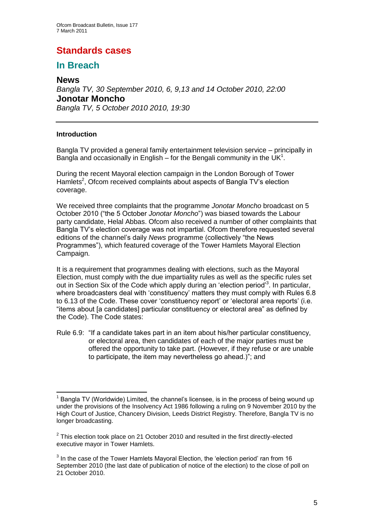# **Standards cases**

# **In Breach**

### **News**

*Bangla TV, 30 September 2010, 6, 9,13 and 14 October 2010, 22:00* **Jonotar Moncho** *Bangla TV, 5 October 2010 2010, 19:30*

### **Introduction**

Bangla TV provided a general family entertainment television service – principally in Bangla and occasionally in English – for the Bengali community in the UK<sup>1</sup>.

During the recent Mayoral election campaign in the London Borough of Tower Hamlets<sup>2</sup>, Ofcom received complaints about aspects of Bangla TV's election coverage.

We received three complaints that the programme *Jonotar Moncho* broadcast on 5 October 2010 ("the 5 October *Jonotar Moncho*") was biased towards the Labour party candidate, Helal Abbas. Ofcom also received a number of other complaints that Bangla TV"s election coverage was not impartial. Ofcom therefore requested several editions of the channel"s daily *News* programme (collectively "the News Programmes"), which featured coverage of the Tower Hamlets Mayoral Election Campaign.

It is a requirement that programmes dealing with elections, such as the Mayoral Election, must comply with the due impartiality rules as well as the specific rules set out in Section Six of the Code which apply during an 'election period<sup>3</sup>. In particular, where broadcasters deal with 'constituency' matters they must comply with Rules 6.8 to 6.13 of the Code. These cover 'constituency report' or 'electoral area reports' (i.e. "items about [a candidates] particular constituency or electoral area" as defined by the Code). The Code states:

Rule 6.9: "If a candidate takes part in an item about his/her particular constituency, or electoral area, then candidates of each of the major parties must be offered the opportunity to take part. (However, if they refuse or are unable to participate, the item may nevertheless go ahead.)"; and

<sup>1</sup>  $1$  Bangla TV (Worldwide) Limited, the channel's licensee, is in the process of being wound up under the provisions of the Insolvency Act 1986 following a ruling on 9 November 2010 by the High Court of Justice, Chancery Division, Leeds District Registry. Therefore, Bangla TV is no longer broadcasting.

 $2$  This election took place on 21 October 2010 and resulted in the first directly-elected executive mayor in Tower Hamlets.

 $3$  In the case of the Tower Hamlets Mayoral Election, the 'election period' ran from 16 September 2010 (the last date of publication of notice of the election) to the close of poll on 21 October 2010.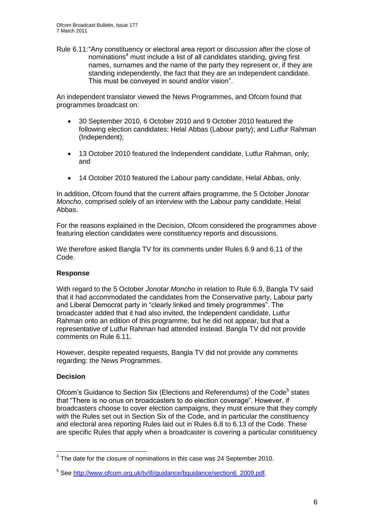Rule 6.11:"Any constituency or electoral area report or discussion after the close of nominations<sup>4</sup> must include a list of all candidates standing, giving first names, surnames and the name of the party they represent or, if they are standing independently, the fact that they are an independent candidate. This must be conveyed in sound and/or vision".

An independent translator viewed the News Programmes, and Ofcom found that programmes broadcast on:

- 30 September 2010, 6 October 2010 and 9 October 2010 featured the following election candidates: Helal Abbas (Labour party); and Lutfur Rahman (Independent);
- 13 October 2010 featured the Independent candidate, Lutfur Rahman, only; and
- 14 October 2010 featured the Labour party candidate, Helal Abbas, only.

In addition, Ofcom found that the current affairs programme, the 5 October *Jonotar Moncho*, comprised solely of an interview with the Labour party candidate, Helal Abbas.

For the reasons explained in the Decision, Ofcom considered the programmes above featuring election candidates were constituency reports and discussions.

We therefore asked Bangla TV for its comments under Rules 6.9 and 6.11 of the Code.

### **Response**

With regard to the 5 October *Jonotar Moncho* in relation to Rule 6.9, Bangla TV said that it had accommodated the candidates from the Conservative party, Labour party and Liberal Democrat party in "clearly linked and timely programmes". The broadcaster added that it had also invited, the Independent candidate, Lutfur Rahman onto an edition of this programme, but he did not appear, but that a representative of Lutfur Rahman had attended instead. Bangla TV did not provide comments on Rule 6.11.

However, despite repeated requests, Bangla TV did not provide any comments regarding: the News Programmes.

### **Decision**

Ofcom's Guidance to Section Six (Elections and Referendums) of the Code<sup>5</sup> states that "There is no onus on broadcasters to do election coverage". However, if broadcasters choose to cover election campaigns, they must ensure that they comply with the Rules set out in Section Six of the Code, and in particular the constituency and electoral area reporting Rules laid out in Rules 6.8 to 6.13 of the Code. These are specific Rules that apply when a broadcaster is covering a particular constituency

 4 The date for the closure of nominations in this case was 24 September 2010.

<sup>&</sup>lt;sup>5</sup> See [http://www.ofcom.org.uk/tv/ifi/guidance/bguidance/section6\\_2009.pdf.](http://www.ofcom.org.uk/tv/ifi/guidance/bguidance/section6_2009.pdf)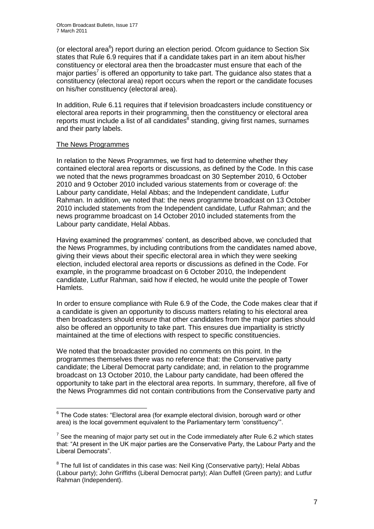(or electoral area<sup>6</sup>) report during an election period. Ofcom guidance to Section Six states that Rule 6.9 requires that if a candidate takes part in an item about his/her constituency or electoral area then the broadcaster must ensure that each of the major parties<sup>7</sup> is offered an opportunity to take part. The guidance also states that a constituency (electoral area) report occurs when the report or the candidate focuses on his/her constituency (electoral area).

In addition, Rule 6.11 requires that if television broadcasters include constituency or electoral area reports in their programming, then the constituency or electoral area reports must include a list of all candidates<sup>8</sup> standing, giving first names, surnames and their party labels.

### The News Programmes

1

In relation to the News Programmes, we first had to determine whether they contained electoral area reports or discussions, as defined by the Code. In this case we noted that the news programmes broadcast on 30 September 2010, 6 October 2010 and 9 October 2010 included various statements from or coverage of: the Labour party candidate, Helal Abbas; and the Independent candidate, Lutfur Rahman. In addition, we noted that: the news programme broadcast on 13 October 2010 included statements from the Independent candidate, Lutfur Rahman; and the news programme broadcast on 14 October 2010 included statements from the Labour party candidate, Helal Abbas.

Having examined the programmes" content, as described above, we concluded that the News Programmes, by including contributions from the candidates named above, giving their views about their specific electoral area in which they were seeking election, included electoral area reports or discussions as defined in the Code. For example, in the programme broadcast on 6 October 2010, the Independent candidate, Lutfur Rahman, said how if elected, he would unite the people of Tower Hamlets.

In order to ensure compliance with Rule 6.9 of the Code, the Code makes clear that if a candidate is given an opportunity to discuss matters relating to his electoral area then broadcasters should ensure that other candidates from the major parties should also be offered an opportunity to take part. This ensures due impartiality is strictly maintained at the time of elections with respect to specific constituencies.

We noted that the broadcaster provided no comments on this point. In the programmes themselves there was no reference that: the Conservative party candidate; the Liberal Democrat party candidate; and, in relation to the programme broadcast on 13 October 2010, the Labour party candidate, had been offered the opportunity to take part in the electoral area reports. In summary, therefore, all five of the News Programmes did not contain contributions from the Conservative party and

<sup>&</sup>lt;sup>6</sup> The Code states: "Electoral area (for example electoral division, borough ward or other area) is the local government equivalent to the Parliamentary term "constituency"".

 $7$  See the meaning of major party set out in the Code immediately after Rule 6.2 which states that: "At present in the UK major parties are the Conservative Party, the Labour Party and the Liberal Democrats".

 $8$  The full list of candidates in this case was: Neil King (Conservative party); Helal Abbas (Labour party); John Griffiths (Liberal Democrat party); Alan Duffell (Green party); and Lutfur Rahman (Independent).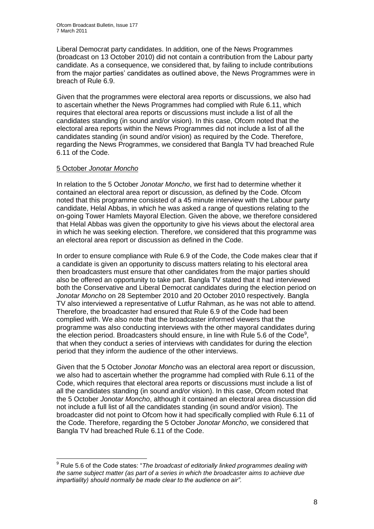Liberal Democrat party candidates. In addition, one of the News Programmes (broadcast on 13 October 2010) did not contain a contribution from the Labour party candidate. As a consequence, we considered that, by failing to include contributions from the major parties" candidates as outlined above, the News Programmes were in breach of Rule 6.9.

Given that the programmes were electoral area reports or discussions, we also had to ascertain whether the News Programmes had complied with Rule 6.11, which requires that electoral area reports or discussions must include a list of all the candidates standing (in sound and/or vision). In this case, Ofcom noted that the electoral area reports within the News Programmes did not include a list of all the candidates standing (in sound and/or vision) as required by the Code. Therefore, regarding the News Programmes, we considered that Bangla TV had breached Rule 6.11 of the Code.

### 5 October *Jonotar Moncho*

1

In relation to the 5 October *Jonotar Moncho*, we first had to determine whether it contained an electoral area report or discussion, as defined by the Code. Ofcom noted that this programme consisted of a 45 minute interview with the Labour party candidate, Helal Abbas, in which he was asked a range of questions relating to the on-going Tower Hamlets Mayoral Election. Given the above, we therefore considered that Helal Abbas was given the opportunity to give his views about the electoral area in which he was seeking election. Therefore, we considered that this programme was an electoral area report or discussion as defined in the Code.

In order to ensure compliance with Rule 6.9 of the Code, the Code makes clear that if a candidate is given an opportunity to discuss matters relating to his electoral area then broadcasters must ensure that other candidates from the major parties should also be offered an opportunity to take part. Bangla TV stated that it had interviewed both the Conservative and Liberal Democrat candidates during the election period on *Jonotar Moncho* on 28 September 2010 and 20 October 2010 respectively. Bangla TV also interviewed a representative of Lutfur Rahman, as he was not able to attend. Therefore, the broadcaster had ensured that Rule 6.9 of the Code had been complied with. We also note that the broadcaster informed viewers that the programme was also conducting interviews with the other mayoral candidates during the election period. Broadcasters should ensure, in line with Rule 5.6 of the Code<sup>9</sup>, that when they conduct a series of interviews with candidates for during the election period that they inform the audience of the other interviews.

Given that the 5 October *Jonotar Moncho* was an electoral area report or discussion, we also had to ascertain whether the programme had complied with Rule 6.11 of the Code, which requires that electoral area reports or discussions must include a list of all the candidates standing (in sound and/or vision). In this case, Ofcom noted that the 5 October *Jonotar Moncho*, although it contained an electoral area discussion did not include a full list of all the candidates standing (in sound and/or vision). The broadcaster did not point to Ofcom how it had specifically complied with Rule 6.11 of the Code. Therefore, regarding the 5 October *Jonotar Moncho*, we considered that Bangla TV had breached Rule 6.11 of the Code.

<sup>9</sup> Rule 5.6 of the Code states: "*The broadcast of editorially linked programmes dealing with the same subject matter (as part of a series in which the broadcaster aims to achieve due impartiality) should normally be made clear to the audience on air".*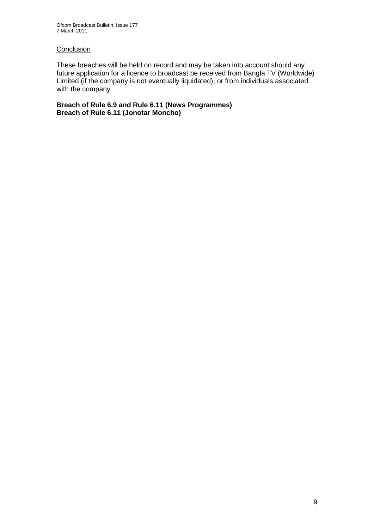### **Conclusion**

These breaches will be held on record and may be taken into account should any future application for a licence to broadcast be received from Bangla TV (Worldwide) Limited (if the company is not eventually liquidated), or from individuals associated with the company.

**Breach of Rule 6.9 and Rule 6.11 (News Programmes) Breach of Rule 6.11 (Jonotar Moncho)**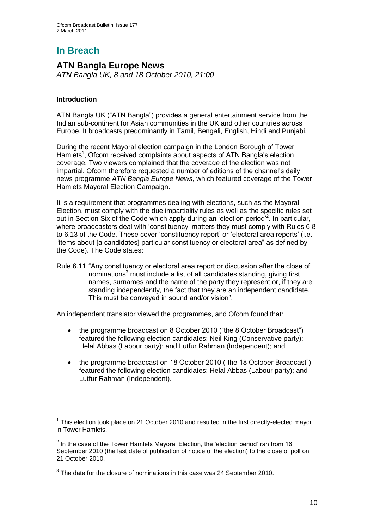# **In Breach**

### **ATN Bangla Europe News** *ATN Bangla UK, 8 and 18 October 2010, 21:00*

### **Introduction**

ATN Bangla UK ("ATN Bangla") provides a general entertainment service from the Indian sub-continent for Asian communities in the UK and other countries across Europe. It broadcasts predominantly in Tamil, Bengali, English, Hindi and Punjabi.

During the recent Mayoral election campaign in the London Borough of Tower Hamlets<sup>1</sup>, Ofcom received complaints about aspects of ATN Bangla's election coverage. Two viewers complained that the coverage of the election was not impartial. Ofcom therefore requested a number of editions of the channel"s daily news programme *ATN Bangla Europe News*, which featured coverage of the Tower Hamlets Mayoral Election Campaign.

It is a requirement that programmes dealing with elections, such as the Mayoral Election, must comply with the due impartiality rules as well as the specific rules set out in Section Six of the Code which apply during an 'election period'<sup>2</sup>. In particular, where broadcasters deal with 'constituency' matters they must comply with Rules 6.8 to 6.13 of the Code. These cover "constituency report" or "electoral area reports" (i.e. "items about [a candidates] particular constituency or electoral area" as defined by the Code). The Code states:

Rule 6.11:"Any constituency or electoral area report or discussion after the close of nominations<sup>3</sup> must include a list of all candidates standing, giving first names, surnames and the name of the party they represent or, if they are standing independently, the fact that they are an independent candidate. This must be conveyed in sound and/or vision".

An independent translator viewed the programmes, and Ofcom found that:

- the programme broadcast on 8 October 2010 ("the 8 October Broadcast") featured the following election candidates: Neil King (Conservative party); Helal Abbas (Labour party); and Lutfur Rahman (Independent); and
- the programme broadcast on 18 October 2010 ("the 18 October Broadcast") featured the following election candidates: Helal Abbas (Labour party); and Lutfur Rahman (Independent).

<sup>1</sup>  $1$  This election took place on 21 October 2010 and resulted in the first directly-elected mayor in Tower Hamlets.

 $2$  In the case of the Tower Hamlets Mayoral Election, the 'election period' ran from 16 September 2010 (the last date of publication of notice of the election) to the close of poll on 21 October 2010.

 $3$  The date for the closure of nominations in this case was 24 September 2010.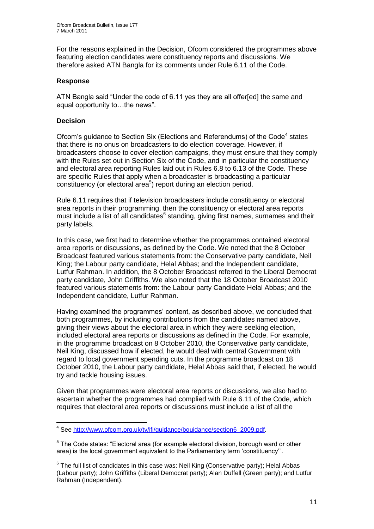For the reasons explained in the Decision, Ofcom considered the programmes above featuring election candidates were constituency reports and discussions. We therefore asked ATN Bangla for its comments under Rule 6.11 of the Code.

### **Response**

ATN Bangla said "Under the code of 6.11 yes they are all offer[ed] the same and equal opportunity to…the news".

### **Decision**

Ofcom's guidance to Section Six (Elections and Referendums) of the Code<sup>4</sup> states that there is no onus on broadcasters to do election coverage. However, if broadcasters choose to cover election campaigns, they must ensure that they comply with the Rules set out in Section Six of the Code, and in particular the constituency and electoral area reporting Rules laid out in Rules 6.8 to 6.13 of the Code. These are specific Rules that apply when a broadcaster is broadcasting a particular constituency (or electoral area<sup>5</sup>) report during an election period.

Rule 6.11 requires that if television broadcasters include constituency or electoral area reports in their programming, then the constituency or electoral area reports must include a list of all candidates<sup>6</sup> standing, giving first names, surnames and their party labels.

In this case, we first had to determine whether the programmes contained electoral area reports or discussions, as defined by the Code. We noted that the 8 October Broadcast featured various statements from: the Conservative party candidate, Neil King; the Labour party candidate, Helal Abbas; and the Independent candidate, Lutfur Rahman. In addition, the 8 October Broadcast referred to the Liberal Democrat party candidate, John Griffiths. We also noted that the 18 October Broadcast 2010 featured various statements from: the Labour party Candidate Helal Abbas; and the Independent candidate, Lutfur Rahman.

Having examined the programmes' content, as described above, we concluded that both programmes, by including contributions from the candidates named above, giving their views about the electoral area in which they were seeking election, included electoral area reports or discussions as defined in the Code. For example, in the programme broadcast on 8 October 2010, the Conservative party candidate, Neil King, discussed how if elected, he would deal with central Government with regard to local government spending cuts. In the programme broadcast on 18 October 2010, the Labour party candidate, Helal Abbas said that, if elected, he would try and tackle housing issues.

Given that programmes were electoral area reports or discussions, we also had to ascertain whether the programmes had complied with Rule 6.11 of the Code, which requires that electoral area reports or discussions must include a list of all the

<sup>1</sup> <sup>4</sup> See [http://www.ofcom.org.uk/tv/ifi/guidance/bguidance/section6\\_2009.pdf.](http://www.ofcom.org.uk/tv/ifi/guidance/bguidance/section6_2009.pdf)

<sup>&</sup>lt;sup>5</sup> The Code states: "Electoral area (for example electoral division, borough ward or other area) is the local government equivalent to the Parliamentary term "constituency"".

 $6$  The full list of candidates in this case was: Neil King (Conservative party); Helal Abbas (Labour party); John Griffiths (Liberal Democrat party); Alan Duffell (Green party); and Lutfur Rahman (Independent).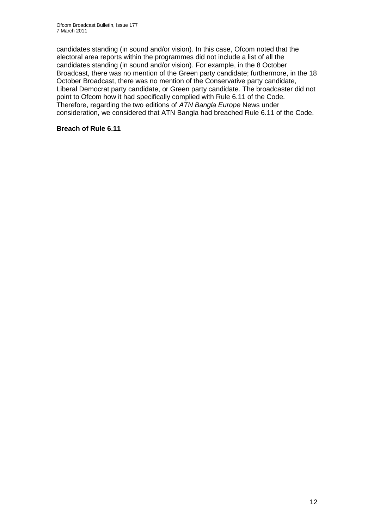candidates standing (in sound and/or vision). In this case, Ofcom noted that the electoral area reports within the programmes did not include a list of all the candidates standing (in sound and/or vision). For example, in the 8 October Broadcast, there was no mention of the Green party candidate; furthermore, in the 18 October Broadcast, there was no mention of the Conservative party candidate, Liberal Democrat party candidate, or Green party candidate. The broadcaster did not point to Ofcom how it had specifically complied with Rule 6.11 of the Code. Therefore, regarding the two editions of *ATN Bangla Europe* News under consideration, we considered that ATN Bangla had breached Rule 6.11 of the Code.

### **Breach of Rule 6.11**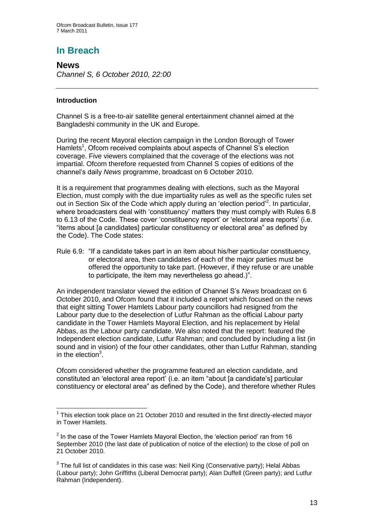# **In Breach**

**News** *Channel S, 6 October 2010, 22:00*

### **Introduction**

Channel S is a free-to-air satellite general entertainment channel aimed at the Bangladeshi community in the UK and Europe.

During the recent Mayoral election campaign in the London Borough of Tower Hamlets<sup>1</sup>, Ofcom received complaints about aspects of Channel S's election coverage. Five viewers complained that the coverage of the elections was not impartial. Ofcom therefore requested from Channel S copies of editions of the channel"s daily *News* programme, broadcast on 6 October 2010.

It is a requirement that programmes dealing with elections, such as the Mayoral Election, must comply with the due impartiality rules as well as the specific rules set out in Section Six of the Code which apply during an 'election period'<sup>2</sup>. In particular, where broadcasters deal with 'constituency' matters they must comply with Rules 6.8 to 6.13 of the Code. These cover "constituency report" or "electoral area reports" (i.e. "items about [a candidates] particular constituency or electoral area" as defined by the Code). The Code states:

Rule 6.9: "If a candidate takes part in an item about his/her particular constituency, or electoral area, then candidates of each of the major parties must be offered the opportunity to take part. (However, if they refuse or are unable to participate, the item may nevertheless go ahead.)".

An independent translator viewed the edition of Channel S"s *News* broadcast on 6 October 2010, and Ofcom found that it included a report which focused on the news that eight sitting Tower Hamlets Labour party councillors had resigned from the Labour party due to the deselection of Lutfur Rahman as the official Labour party candidate in the Tower Hamlets Mayoral Election, and his replacement by Helal Abbas, as the Labour party candidate. We also noted that the report: featured the Independent election candidate, Lutfur Rahman; and concluded by including a list (in sound and in vision) of the four other candidates, other than Lutfur Rahman, standing in the election $3$ .

Ofcom considered whether the programme featured an election candidate, and constituted an "electoral area report" (i.e. an item "about [a candidate"s] particular constituency or electoral area" as defined by the Code), and therefore whether Rules

<sup>1</sup>  $1$  This election took place on 21 October 2010 and resulted in the first directly-elected mayor in Tower Hamlets.

 $2$  In the case of the Tower Hamlets Mayoral Election, the 'election period' ran from 16 September 2010 (the last date of publication of notice of the election) to the close of poll on 21 October 2010.

 $3$  The full list of candidates in this case was: Neil King (Conservative party); Helal Abbas (Labour party); John Griffiths (Liberal Democrat party); Alan Duffell (Green party); and Lutfur Rahman (Independent).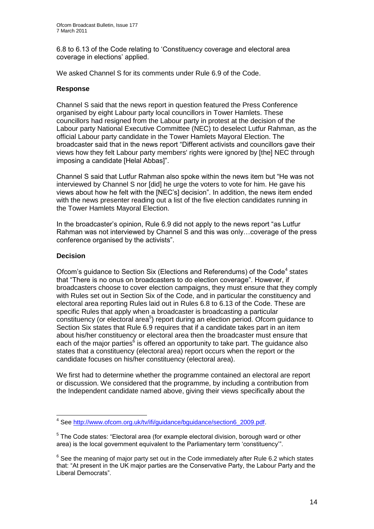6.8 to 6.13 of the Code relating to "Constituency coverage and electoral area coverage in elections" applied.

We asked Channel S for its comments under Rule 6.9 of the Code.

### **Response**

Channel S said that the news report in question featured the Press Conference organised by eight Labour party local councillors in Tower Hamlets. These councillors had resigned from the Labour party in protest at the decision of the Labour party National Executive Committee (NEC) to deselect Lutfur Rahman, as the official Labour party candidate in the Tower Hamlets Mayoral Election. The broadcaster said that in the news report "Different activists and councillors gave their views how they felt Labour party members' rights were ignored by [the] NEC through imposing a candidate [Helal Abbas]".

Channel S said that Lutfur Rahman also spoke within the news item but "He was not interviewed by Channel S nor [did] he urge the voters to vote for him. He gave his views about how he felt with the [NEC"s] decision". In addition, the news item ended with the news presenter reading out a list of the five election candidates running in the Tower Hamlets Mayoral Election.

In the broadcaster"s opinion, Rule 6.9 did not apply to the news report "as Lutfur Rahman was not interviewed by Channel S and this was only…coverage of the press conference organised by the activists".

### **Decision**

1

Ofcom's guidance to Section Six (Elections and Referendums) of the Code<sup>4</sup> states that "There is no onus on broadcasters to do election coverage". However, if broadcasters choose to cover election campaigns, they must ensure that they comply with Rules set out in Section Six of the Code, and in particular the constituency and electoral area reporting Rules laid out in Rules 6.8 to 6.13 of the Code. These are specific Rules that apply when a broadcaster is broadcasting a particular constituency (or electoral area<sup>5</sup>) report during an election period. Ofcom guidance to Section Six states that Rule 6.9 requires that if a candidate takes part in an item about his/her constituency or electoral area then the broadcaster must ensure that each of the major parties<sup>6</sup> is offered an opportunity to take part. The guidance also states that a constituency (electoral area) report occurs when the report or the candidate focuses on his/her constituency (electoral area).

We first had to determine whether the programme contained an electoral are report or discussion. We considered that the programme, by including a contribution from the Independent candidate named above, giving their views specifically about the

<sup>&</sup>lt;sup>4</sup> See [http://www.ofcom.org.uk/tv/ifi/guidance/bguidance/section6\\_2009.pdf.](http://www.ofcom.org.uk/tv/ifi/guidance/bguidance/section6_2009.pdf)

<sup>&</sup>lt;sup>5</sup> The Code states: "Electoral area (for example electoral division, borough ward or other area) is the local government equivalent to the Parliamentary term "constituency"".

 $6$  See the meaning of major party set out in the Code immediately after Rule 6.2 which states that: "At present in the UK major parties are the Conservative Party, the Labour Party and the Liberal Democrats".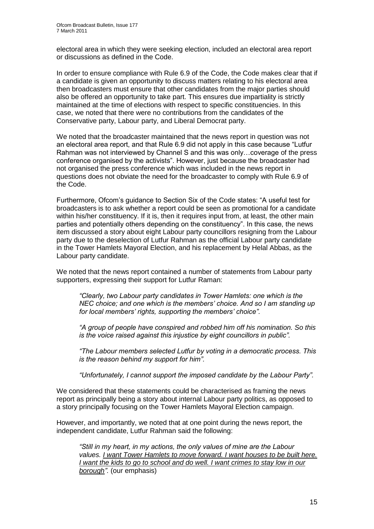electoral area in which they were seeking election, included an electoral area report or discussions as defined in the Code.

In order to ensure compliance with Rule 6.9 of the Code, the Code makes clear that if a candidate is given an opportunity to discuss matters relating to his electoral area then broadcasters must ensure that other candidates from the major parties should also be offered an opportunity to take part. This ensures due impartiality is strictly maintained at the time of elections with respect to specific constituencies. In this case, we noted that there were no contributions from the candidates of the Conservative party, Labour party, and Liberal Democrat party.

We noted that the broadcaster maintained that the news report in question was not an electoral area report, and that Rule 6.9 did not apply in this case because "Lutfur Rahman was not interviewed by Channel S and this was only…coverage of the press conference organised by the activists". However, just because the broadcaster had not organised the press conference which was included in the news report in questions does not obviate the need for the broadcaster to comply with Rule 6.9 of the Code.

Furthermore, Ofcom"s guidance to Section Six of the Code states: "A useful test for broadcasters is to ask whether a report could be seen as promotional for a candidate within his/her constituency. If it is, then it requires input from, at least, the other main parties and potentially others depending on the constituency". In this case, the news item discussed a story about eight Labour party councillors resigning from the Labour party due to the deselection of Lutfur Rahman as the official Labour party candidate in the Tower Hamlets Mayoral Election, and his replacement by Helal Abbas, as the Labour party candidate.

We noted that the news report contained a number of statements from Labour party supporters, expressing their support for Lutfur Raman:

*"Clearly, two Labour party candidates in Tower Hamlets: one which is the NEC choice; and one which is the members' choice. And so I am standing up for local members' rights, supporting the members' choice".* 

*"A group of people have conspired and robbed him off his nomination. So this is the voice raised against this injustice by eight councillors in public".*

*"The Labour members selected Lutfur by voting in a democratic process. This is the reason behind my support for him".*

*"Unfortunately, I cannot support the imposed candidate by the Labour Party".*

We considered that these statements could be characterised as framing the news report as principally being a story about internal Labour party politics, as opposed to a story principally focusing on the Tower Hamlets Mayoral Election campaign.

However, and importantly, we noted that at one point during the news report, the independent candidate, Lutfur Rahman said the following:

*"Still in my heart, in my actions, the only values of mine are the Labour values. I want Tower Hamlets to move forward. I want houses to be built here. I* want the kids to go to school and do well. I want crimes to stay low in our *borough".* (our emphasis)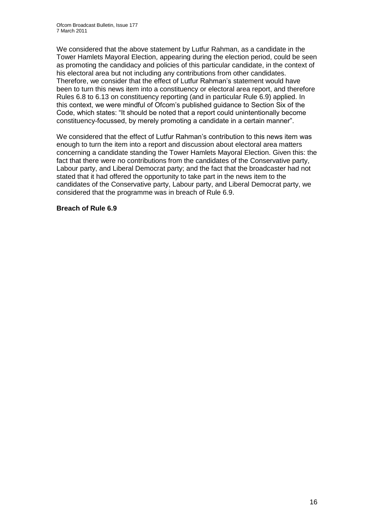We considered that the above statement by Lutfur Rahman, as a candidate in the Tower Hamlets Mayoral Election, appearing during the election period, could be seen as promoting the candidacy and policies of this particular candidate, in the context of his electoral area but not including any contributions from other candidates. Therefore, we consider that the effect of Lutfur Rahman"s statement would have been to turn this news item into a constituency or electoral area report, and therefore Rules 6.8 to 6.13 on constituency reporting (and in particular Rule 6.9) applied. In this context, we were mindful of Ofcom"s published guidance to Section Six of the Code, which states: "It should be noted that a report could unintentionally become constituency-focussed, by merely promoting a candidate in a certain manner".

We considered that the effect of Lutfur Rahman's contribution to this news item was enough to turn the item into a report and discussion about electoral area matters concerning a candidate standing the Tower Hamlets Mayoral Election. Given this: the fact that there were no contributions from the candidates of the Conservative party, Labour party, and Liberal Democrat party; and the fact that the broadcaster had not stated that it had offered the opportunity to take part in the news item to the candidates of the Conservative party, Labour party, and Liberal Democrat party, we considered that the programme was in breach of Rule 6.9.

### **Breach of Rule 6.9**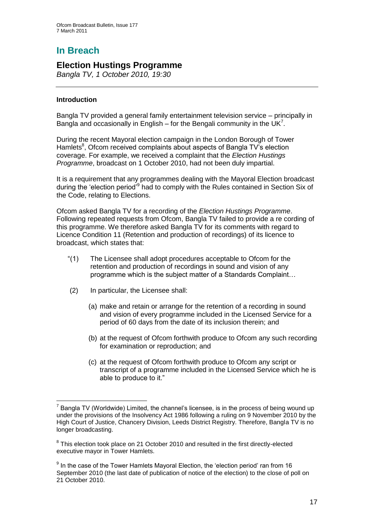# **In Breach**

## **Election Hustings Programme**

*Bangla TV, 1 October 2010, 19:30*

### **Introduction**

Bangla TV provided a general family entertainment television service – principally in Bangla and occasionally in English – for the Bengali community in the UK<sup>7</sup>.

During the recent Mayoral election campaign in the London Borough of Tower Hamlets<sup>8</sup>, Ofcom received complaints about aspects of Bangla TV's election coverage. For example, we received a complaint that the *Election Hustings Programme*, broadcast on 1 October 2010, had not been duly impartial.

It is a requirement that any programmes dealing with the Mayoral Election broadcast during the 'election period'<sup>9</sup> had to comply with the Rules contained in Section Six of the Code, relating to Elections.

Ofcom asked Bangla TV for a recording of the *Election Hustings Programme*. Following repeated requests from Ofcom, Bangla TV failed to provide a re cording of this programme. We therefore asked Bangla TV for its comments with regard to Licence Condition 11 (Retention and production of recordings) of its licence to broadcast, which states that:

- "(1) The Licensee shall adopt procedures acceptable to Ofcom for the retention and production of recordings in sound and vision of any programme which is the subject matter of a Standards Complaint…
- (2) In particular, the Licensee shall:
	- (a) make and retain or arrange for the retention of a recording in sound and vision of every programme included in the Licensed Service for a period of 60 days from the date of its inclusion therein; and
	- (b) at the request of Ofcom forthwith produce to Ofcom any such recording for examination or reproduction; and
	- (c) at the request of Ofcom forthwith produce to Ofcom any script or transcript of a programme included in the Licensed Service which he is able to produce to it."

<sup>1</sup>  $7$  Bangla TV (Worldwide) Limited, the channel's licensee, is in the process of being wound up under the provisions of the Insolvency Act 1986 following a ruling on 9 November 2010 by the High Court of Justice, Chancery Division, Leeds District Registry. Therefore, Bangla TV is no longer broadcasting.

 $8$  This election took place on 21 October 2010 and resulted in the first directly-elected executive mayor in Tower Hamlets.

 $9$  In the case of the Tower Hamlets Mayoral Election, the 'election period' ran from 16 September 2010 (the last date of publication of notice of the election) to the close of poll on 21 October 2010.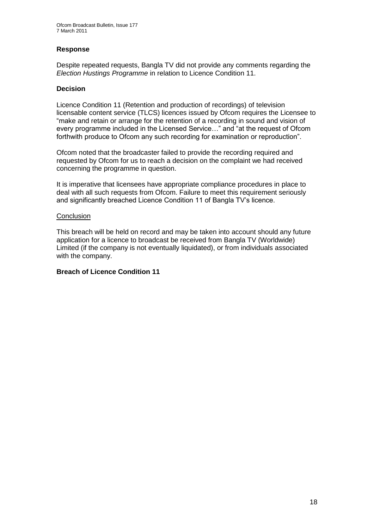### **Response**

Despite repeated requests, Bangla TV did not provide any comments regarding the *Election Hustings Programme* in relation to Licence Condition 11.

### **Decision**

Licence Condition 11 (Retention and production of recordings) of television licensable content service (TLCS) licences issued by Ofcom requires the Licensee to "make and retain or arrange for the retention of a recording in sound and vision of every programme included in the Licensed Service…" and "at the request of Ofcom forthwith produce to Ofcom any such recording for examination or reproduction".

Ofcom noted that the broadcaster failed to provide the recording required and requested by Ofcom for us to reach a decision on the complaint we had received concerning the programme in question.

It is imperative that licensees have appropriate compliance procedures in place to deal with all such requests from Ofcom. Failure to meet this requirement seriously and significantly breached Licence Condition 11 of Bangla TV"s licence.

### **Conclusion**

This breach will be held on record and may be taken into account should any future application for a licence to broadcast be received from Bangla TV (Worldwide) Limited (if the company is not eventually liquidated), or from individuals associated with the company.

### **Breach of Licence Condition 11**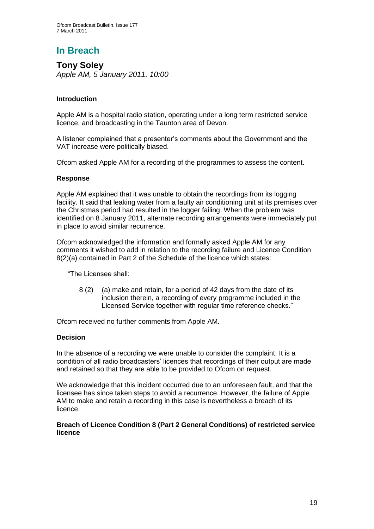# **In Breach**

**Tony Soley** *Apple AM, 5 January 2011, 10:00*

### **Introduction**

Apple AM is a hospital radio station, operating under a long term restricted service licence, and broadcasting in the Taunton area of Devon.

A listener complained that a presenter"s comments about the Government and the VAT increase were politically biased.

Ofcom asked Apple AM for a recording of the programmes to assess the content.

### **Response**

Apple AM explained that it was unable to obtain the recordings from its logging facility. It said that leaking water from a faulty air conditioning unit at its premises over the Christmas period had resulted in the logger failing. When the problem was identified on 8 January 2011, alternate recording arrangements were immediately put in place to avoid similar recurrence.

Ofcom acknowledged the information and formally asked Apple AM for any comments it wished to add in relation to the recording failure and Licence Condition 8(2)(a) contained in Part 2 of the Schedule of the licence which states:

"The Licensee shall:

8 (2) (a) make and retain, for a period of 42 days from the date of its inclusion therein, a recording of every programme included in the Licensed Service together with regular time reference checks."

Ofcom received no further comments from Apple AM.

### **Decision**

In the absence of a recording we were unable to consider the complaint. It is a condition of all radio broadcasters" licences that recordings of their output are made and retained so that they are able to be provided to Ofcom on request.

We acknowledge that this incident occurred due to an unforeseen fault, and that the licensee has since taken steps to avoid a recurrence. However, the failure of Apple AM to make and retain a recording in this case is nevertheless a breach of its licence.

### **Breach of Licence Condition 8 (Part 2 General Conditions) of restricted service licence**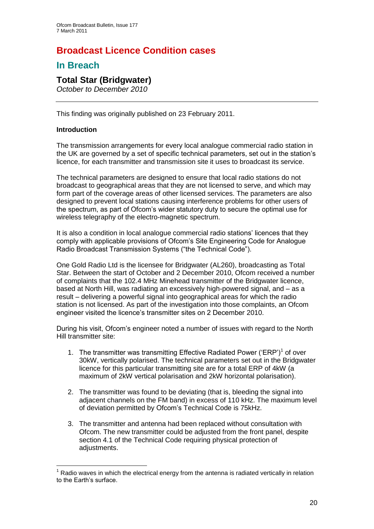# **Broadcast Licence Condition cases**

# **In Breach**

# **Total Star (Bridgwater)**

*October to December 2010*

This finding was originally published on 23 February 2011.

### **Introduction**

1

The transmission arrangements for every local analogue commercial radio station in the UK are governed by a set of specific technical parameters, set out in the station"s licence, for each transmitter and transmission site it uses to broadcast its service.

The technical parameters are designed to ensure that local radio stations do not broadcast to geographical areas that they are not licensed to serve, and which may form part of the coverage areas of other licensed services. The parameters are also designed to prevent local stations causing interference problems for other users of the spectrum, as part of Ofcom"s wider statutory duty to secure the optimal use for wireless telegraphy of the electro-magnetic spectrum.

It is also a condition in local analogue commercial radio stations" licences that they comply with applicable provisions of Ofcom"s Site Engineering Code for Analogue Radio Broadcast Transmission Systems ("the Technical Code").

One Gold Radio Ltd is the licensee for Bridgwater (AL260), broadcasting as Total Star. Between the start of October and 2 December 2010, Ofcom received a number of complaints that the 102.4 MHz Minehead transmitter of the Bridgwater licence, based at North Hill, was radiating an excessively high-powered signal, and – as a result – delivering a powerful signal into geographical areas for which the radio station is not licensed. As part of the investigation into those complaints, an Ofcom engineer visited the licence"s transmitter sites on 2 December 2010.

During his visit, Ofcom"s engineer noted a number of issues with regard to the North Hill transmitter site:

- 1. The transmitter was transmitting Effective Radiated Power ('ERP')<sup>1</sup> of over 30kW, vertically polarised. The technical parameters set out in the Bridgwater licence for this particular transmitting site are for a total ERP of 4kW (a maximum of 2kW vertical polarisation and 2kW horizontal polarisation).
- 2. The transmitter was found to be deviating (that is, bleeding the signal into adjacent channels on the FM band) in excess of 110 kHz. The maximum level of deviation permitted by Ofcom"s Technical Code is 75kHz.
- 3. The transmitter and antenna had been replaced without consultation with Ofcom. The new transmitter could be adjusted from the front panel, despite section 4.1 of the Technical Code requiring physical protection of adjustments.

 $<sup>1</sup>$  Radio waves in which the electrical energy from the antenna is radiated vertically in relation</sup> to the Earth"s surface.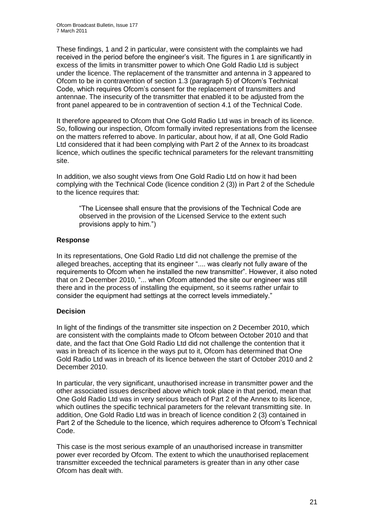These findings, 1 and 2 in particular, were consistent with the complaints we had received in the period before the engineer"s visit. The figures in 1 are significantly in excess of the limits in transmitter power to which One Gold Radio Ltd is subject under the licence. The replacement of the transmitter and antenna in 3 appeared to Ofcom to be in contravention of section 1.3 (paragraph 5) of Ofcom"s Technical Code, which requires Ofcom"s consent for the replacement of transmitters and antennae. The insecurity of the transmitter that enabled it to be adjusted from the front panel appeared to be in contravention of section 4.1 of the Technical Code.

It therefore appeared to Ofcom that One Gold Radio Ltd was in breach of its licence. So, following our inspection, Ofcom formally invited representations from the licensee on the matters referred to above. In particular, about how, if at all, One Gold Radio Ltd considered that it had been complying with Part 2 of the Annex to its broadcast licence, which outlines the specific technical parameters for the relevant transmitting site.

In addition, we also sought views from One Gold Radio Ltd on how it had been complying with the Technical Code (licence condition 2 (3)) in Part 2 of the Schedule to the licence requires that:

"The Licensee shall ensure that the provisions of the Technical Code are observed in the provision of the Licensed Service to the extent such provisions apply to him.")

### **Response**

In its representations, One Gold Radio Ltd did not challenge the premise of the alleged breaches, accepting that its engineer ".... was clearly not fully aware of the requirements to Ofcom when he installed the new transmitter". However, it also noted that on 2 December 2010, "... when Ofcom attended the site our engineer was still there and in the process of installing the equipment, so it seems rather unfair to consider the equipment had settings at the correct levels immediately."

### **Decision**

In light of the findings of the transmitter site inspection on 2 December 2010, which are consistent with the complaints made to Ofcom between October 2010 and that date, and the fact that One Gold Radio Ltd did not challenge the contention that it was in breach of its licence in the ways put to it, Ofcom has determined that One Gold Radio Ltd was in breach of its licence between the start of October 2010 and 2 December 2010.

In particular, the very significant, unauthorised increase in transmitter power and the other associated issues described above which took place in that period, mean that One Gold Radio Ltd was in very serious breach of Part 2 of the Annex to its licence, which outlines the specific technical parameters for the relevant transmitting site. In addition, One Gold Radio Ltd was in breach of licence condition 2 (3) contained in Part 2 of the Schedule to the licence, which requires adherence to Ofcom"s Technical Code.

This case is the most serious example of an unauthorised increase in transmitter power ever recorded by Ofcom. The extent to which the unauthorised replacement transmitter exceeded the technical parameters is greater than in any other case Ofcom has dealt with.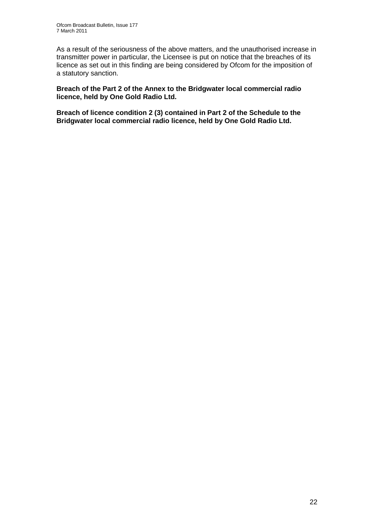As a result of the seriousness of the above matters, and the unauthorised increase in transmitter power in particular, the Licensee is put on notice that the breaches of its licence as set out in this finding are being considered by Ofcom for the imposition of a statutory sanction.

**Breach of the Part 2 of the Annex to the Bridgwater local commercial radio licence, held by One Gold Radio Ltd.**

**Breach of licence condition 2 (3) contained in Part 2 of the Schedule to the Bridgwater local commercial radio licence, held by One Gold Radio Ltd.**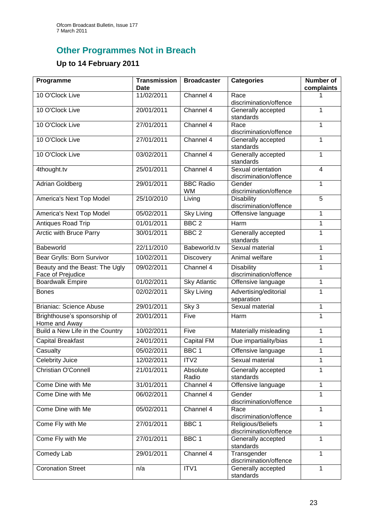# **Other Programmes Not in Breach**

# **Up to 14 February 2011**

| Programme                                           | <b>Transmission</b><br>Date | <b>Broadcaster</b>            | <b>Categories</b>                            | <b>Number of</b><br>complaints |
|-----------------------------------------------------|-----------------------------|-------------------------------|----------------------------------------------|--------------------------------|
| 10 O'Clock Live                                     | 11/02/2011                  | Channel 4                     | Race<br>discrimination/offence               |                                |
| 10 O'Clock Live                                     | 20/01/2011                  | Channel 4                     | Generally accepted<br>standards              | 1                              |
| 10 O'Clock Live                                     | 27/01/2011                  | Channel 4                     | Race<br>discrimination/offence               | 1                              |
| 10 O'Clock Live                                     | 27/01/2011                  | Channel 4                     | Generally accepted<br>standards              | 1                              |
| 10 O'Clock Live                                     | 03/02/2011                  | Channel 4                     | Generally accepted<br>standards              | 1                              |
| 4thought.tv                                         | 25/01/2011                  | Channel 4                     | Sexual orientation<br>discrimination/offence | 4                              |
| Adrian Goldberg                                     | 29/01/2011                  | <b>BBC Radio</b><br><b>WM</b> | Gender<br>discrimination/offence             | 1                              |
| America's Next Top Model                            | 25/10/2010                  | Living                        | <b>Disability</b><br>discrimination/offence  | 5                              |
| America's Next Top Model                            | 05/02/2011                  | <b>Sky Living</b>             | Offensive language                           | 1                              |
| Antiques Road Trip                                  | 01/01/2011                  | BBC <sub>2</sub>              | Harm                                         | 1                              |
| Arctic with Bruce Parry                             | 30/01/2011                  | BBC <sub>2</sub>              | Generally accepted<br>standards              | 1                              |
| Babeworld                                           | 22/11/2010                  | Babeworld.tv                  | Sexual material                              | $\mathbf{1}$                   |
| Bear Grylls: Born Survivor                          | 10/02/2011                  | <b>Discovery</b>              | Animal welfare                               | 1                              |
| Beauty and the Beast: The Ugly<br>Face of Prejudice | 09/02/2011                  | Channel 4                     | <b>Disability</b><br>discrimination/offence  | 1                              |
| <b>Boardwalk Empire</b>                             | 01/02/2011                  | <b>Sky Atlantic</b>           | Offensive language                           | 1                              |
| <b>Bones</b>                                        | 02/02/2011                  | <b>Sky Living</b>             | Advertising/editorial<br>separation          | 1                              |
| <b>Brianiac: Science Abuse</b>                      | 29/01/2011                  | Sky 3                         | Sexual material                              | 1                              |
| Brighthouse's sponsorship of<br>Home and Away       | 20/01/2011                  | Five                          | Harm                                         | 1                              |
| Build a New Life in the Country                     | 10/02/2011                  | Five                          | Materially misleading                        | 1                              |
| <b>Capital Breakfast</b>                            | 24/01/2011                  | Capital FM                    | Due impartiality/bias                        | 1                              |
| Casualty                                            | 05/02/2011                  | BBC <sub>1</sub>              | Offensive language                           | 1                              |
| <b>Celebrity Juice</b>                              | 12/02/2011                  | ITV <sub>2</sub>              | Sexual material                              | 1                              |
| Christian O'Connell                                 | 21/01/2011                  | Absolute<br>Radio             | Generally accepted<br>standards              | 1                              |
| Come Dine with Me                                   | 31/01/2011                  | Channel 4                     | Offensive language                           | 1                              |
| Come Dine with Me                                   | 06/02/2011                  | Channel 4                     | Gender<br>discrimination/offence             | 1                              |
| Come Dine with Me                                   | 05/02/2011                  | Channel 4                     | Race<br>discrimination/offence               | $\mathbf{1}$                   |
| Come Fly with Me                                    | 27/01/2011                  | BBC <sub>1</sub>              | Religious/Beliefs<br>discrimination/offence  | $\mathbf{1}$                   |
| Come Fly with Me                                    | 27/01/2011                  | BBC <sub>1</sub>              | Generally accepted<br>standards              | 1                              |
| Comedy Lab                                          | 29/01/2011                  | Channel 4                     | Transgender<br>discrimination/offence        | $\mathbf{1}$                   |
| <b>Coronation Street</b>                            | n/a                         | ITV1                          | Generally accepted<br>standards              | 1                              |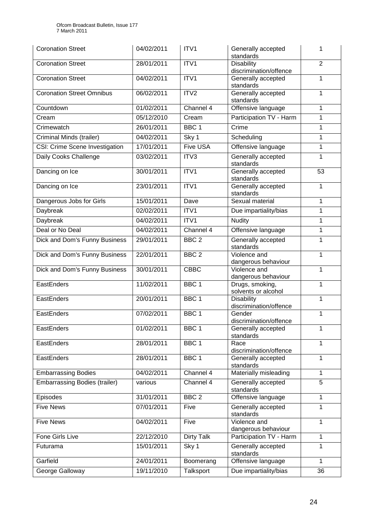| <b>Coronation Street</b>             | 04/02/2011 | ITV <sub>1</sub>  | Generally accepted<br>standards             | 1              |
|--------------------------------------|------------|-------------------|---------------------------------------------|----------------|
| <b>Coronation Street</b>             | 28/01/2011 | ITV1              | <b>Disability</b><br>discrimination/offence | $\overline{2}$ |
| <b>Coronation Street</b>             | 04/02/2011 | ITV1              | Generally accepted<br>standards             | 1              |
| <b>Coronation Street Omnibus</b>     | 06/02/2011 | ITV <sub>2</sub>  | Generally accepted<br>standards             | 1              |
| Countdown                            | 01/02/2011 | Channel 4         | Offensive language                          | 1              |
| Cream                                | 05/12/2010 | Cream             | Participation TV - Harm                     | 1              |
| Crimewatch                           | 26/01/2011 | BBC <sub>1</sub>  | Crime                                       | $\mathbf{1}$   |
| Criminal Minds (trailer)             | 04/02/2011 | Sky 1             | Scheduling                                  | 1              |
| CSI: Crime Scene Investigation       | 17/01/2011 | <b>Five USA</b>   | Offensive language                          | 1              |
| Daily Cooks Challenge                | 03/02/2011 | ITV3              | Generally accepted<br>standards             | 1              |
| Dancing on Ice                       | 30/01/2011 | ITV1              | Generally accepted<br>standards             | 53             |
| Dancing on Ice                       | 23/01/2011 | ITV1              | Generally accepted<br>standards             | 1              |
| Dangerous Jobs for Girls             | 15/01/2011 | Dave              | Sexual material                             | $\mathbf{1}$   |
| Daybreak                             | 02/02/2011 | ITV1              | Due impartiality/bias                       | 1              |
| <b>Daybreak</b>                      | 04/02/2011 | ITV1              | <b>Nudity</b>                               | 1              |
| Deal or No Deal                      | 04/02/2011 | Channel 4         | Offensive language                          | 1              |
| Dick and Dom's Funny Business        | 29/01/2011 | BBC <sub>2</sub>  | Generally accepted<br>standards             | 1              |
| Dick and Dom's Funny Business        | 22/01/2011 | BBC <sub>2</sub>  | Violence and<br>dangerous behaviour         | $\mathbf{1}$   |
| Dick and Dom's Funny Business        | 30/01/2011 | <b>CBBC</b>       | Violence and<br>dangerous behaviour         | 1              |
| EastEnders                           | 11/02/2011 | BBC <sub>1</sub>  | Drugs, smoking,<br>solvents or alcohol      | 1              |
| EastEnders                           | 20/01/2011 | BBC <sub>1</sub>  | <b>Disability</b><br>discrimination/offence | 1              |
| EastEnders                           | 07/02/2011 | BBC <sub>1</sub>  | Gender<br>discrimination/offence            | 1              |
| EastEnders                           | 01/02/2011 | BBC <sub>1</sub>  | Generally accepted<br>standards             | 1              |
| EastEnders                           | 28/01/2011 | BBC 1             | Race<br>discrimination/offence              | $\mathbf{1}$   |
| EastEnders                           | 28/01/2011 | BBC <sub>1</sub>  | Generally accepted<br>standards             | 1              |
| <b>Embarrassing Bodies</b>           | 04/02/2011 | Channel 4         | Materially misleading                       | 1              |
| <b>Embarrassing Bodies (trailer)</b> | various    | Channel 4         | Generally accepted<br>standards             | 5              |
| Episodes                             | 31/01/2011 | BBC <sub>2</sub>  | Offensive language                          | 1              |
| Five News                            | 07/01/2011 | Five              | Generally accepted<br>standards             | 1              |
| <b>Five News</b>                     | 04/02/2011 | Five              | Violence and<br>dangerous behaviour         | $\mathbf{1}$   |
| Fone Girls Live                      | 22/12/2010 | <b>Dirty Talk</b> | Participation TV - Harm                     | 1              |
| Futurama                             | 15/01/2011 | Sky 1             | Generally accepted<br>standards             | 1              |
| Garfield                             | 24/01/2011 | Boomerang         | Offensive language                          | 1              |
| George Galloway                      | 19/11/2010 | Talksport         | Due impartiality/bias                       | 36             |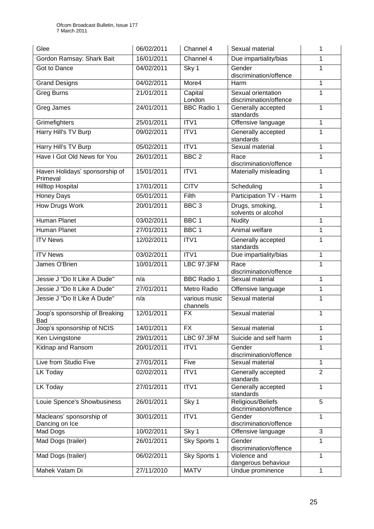| Glee                                       | 06/02/2011 | Channel 4             | Sexual material                                               | 1              |
|--------------------------------------------|------------|-----------------------|---------------------------------------------------------------|----------------|
| Gordon Ramsay: Shark Bait                  | 16/01/2011 | Channel 4             | Due impartiality/bias                                         | 1              |
| Got to Dance                               | 04/02/2011 | Sky 1                 | Gender<br>discrimination/offence                              | 1              |
| <b>Grand Designs</b>                       | 04/02/2011 | More4                 | Harm                                                          | 1              |
| <b>Greg Burns</b>                          | 21/01/2011 | Capital<br>London     | Sexual orientation<br>discrimination/offence                  | 1              |
| Greg James                                 | 24/01/2011 | <b>BBC Radio 1</b>    | Generally accepted<br>standards                               | 1              |
| Grimefighters                              | 25/01/2011 | ITV1                  | Offensive language                                            | 1              |
| Harry Hill's TV Burp                       | 09/02/2011 | ITV1                  | Generally accepted<br>standards                               | 1              |
| Harry Hill's TV Burp                       | 05/02/2011 | ITV1                  | Sexual material                                               | 1              |
| Have I Got Old News for You                | 26/01/2011 | BBC <sub>2</sub>      | Race<br>discrimination/offence                                | 1              |
| Haven Holidays' sponsorship of<br>Primeval | 15/01/2011 | ITV1                  | Materially misleading                                         | 1              |
| <b>Hilltop Hospital</b>                    | 17/01/2011 | <b>CITV</b>           | Scheduling                                                    | 1              |
| <b>Honey Days</b>                          | 05/01/2011 | Filth                 | Participation TV - Harm                                       | 1              |
| <b>How Drugs Work</b>                      | 20/01/2011 | BBC <sub>3</sub>      | Drugs, smoking,<br>solvents or alcohol                        | 1              |
| <b>Human Planet</b>                        | 03/02/2011 | BBC <sub>1</sub>      | <b>Nudity</b>                                                 | 1              |
| <b>Human Planet</b>                        | 27/01/2011 | BBC <sub>1</sub>      | Animal welfare                                                | 1              |
| <b>ITV News</b>                            | 12/02/2011 | ITV1                  | Generally accepted<br>standards                               | 1              |
| <b>ITV News</b>                            | 03/02/2011 | ITV1                  | Due impartiality/bias                                         | 1              |
| James O'Brien                              | 10/01/2011 | <b>LBC 97.3FM</b>     | Race<br>discrimination/offence                                | 1              |
| Jessie J "Do It Like A Dude"               | n/a        | <b>BBC</b> Radio 1    | Sexual material                                               | 1              |
| Jessie J "Do It Like A Dude"               | 27/01/2011 | Metro Radio           | Offensive language                                            | 1              |
|                                            |            |                       | Sexual material                                               | 1              |
| Jessie J "Do It Like A Dude"               | n/a        | various music         |                                                               |                |
| Joop's sponsorship of Breaking             | 12/01/2011 | channels<br><b>FX</b> | Sexual material                                               | 1              |
| Bad<br>Joop's sponsorship of NCIS          | 14/01/2011 | <b>FX</b>             | Sexual material                                               | 1              |
| Ken Livingstone                            | 29/01/2011 | <b>LBC 97.3FM</b>     | Suicide and self harm                                         | 1              |
| Kidnap and Ransom                          | 20/01/2011 | ITV1                  | Gender                                                        | 1              |
| Live from Studio Five                      | 27/01/2011 | Five                  | discrimination/offence<br>Sexual material                     | 1              |
| LK Today                                   | 02/02/2011 | ITV1                  | Generally accepted<br>standards                               | $\overline{2}$ |
| LK Today                                   | 27/01/2011 | ITV1                  | Generally accepted                                            | 1              |
| Louie Spence's Showbusiness                | 26/01/2011 | Sky 1                 | standards<br>Religious/Beliefs                                | $\overline{5}$ |
| Macleans' sponsorship of                   | 30/01/2011 | ITV1                  | discrimination/offence<br>Gender                              | 1              |
| Dancing on Ice<br>Mad Dogs                 | 10/02/2011 | Sky 1                 | discrimination/offence<br>Offensive language                  | 3              |
| Mad Dogs (trailer)                         | 26/01/2011 | Sky Sports 1          | Gender                                                        | 1              |
| Mad Dogs (trailer)                         | 06/02/2011 | Sky Sports 1          | discrimination/offence<br>Violence and<br>dangerous behaviour | 1              |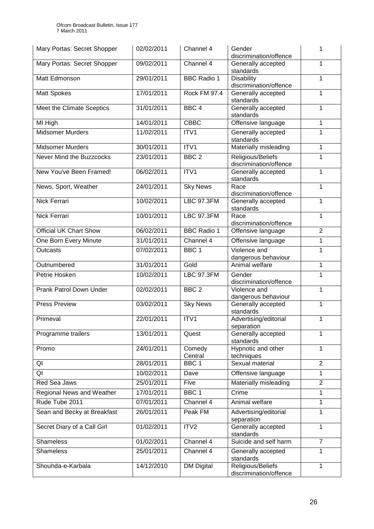| Mary Portas: Secret Shopper      | 02/02/2011 | Channel 4           | Gender<br>discrimination/offence            | 1              |
|----------------------------------|------------|---------------------|---------------------------------------------|----------------|
| Mary Portas: Secret Shopper      | 09/02/2011 | Channel 4           | Generally accepted<br>standards             | 1              |
| Matt Edmonson                    | 29/01/2011 | <b>BBC Radio 1</b>  | <b>Disability</b><br>discrimination/offence | 1              |
| <b>Matt Spokes</b>               | 17/01/2011 | <b>Rock FM 97.4</b> | Generally accepted<br>standards             | 1              |
| Meet the Climate Sceptics        | 31/01/2011 | BBC <sub>4</sub>    | Generally accepted<br>standards             | 1              |
| MI High                          | 14/01/2011 | <b>CBBC</b>         | Offensive language                          | 1              |
| <b>Midsomer Murders</b>          | 11/02/2011 | ITV1                | Generally accepted<br>standards             | 1              |
| <b>Midsomer Murders</b>          | 30/01/2011 | ITV1                | Materially misleading                       | 1              |
| Never Mind the Buzzcocks         | 23/01/2011 | BBC <sub>2</sub>    | Religious/Beliefs<br>discrimination/offence | 1              |
| New You've Been Framed!          | 06/02/2011 | ITV1                | Generally accepted<br>standards             | 1              |
| News, Sport, Weather             | 24/01/2011 | <b>Sky News</b>     | Race<br>discrimination/offence              | 1              |
| Nick Ferrari                     | 10/02/2011 | <b>LBC 97.3FM</b>   | Generally accepted<br>standards             | 1              |
| Nick Ferrari                     | 10/01/2011 | <b>LBC 97.3FM</b>   | Race<br>discrimination/offence              | 1              |
| <b>Official UK Chart Show</b>    | 06/02/2011 | <b>BBC Radio 1</b>  | Offensive language                          | $\overline{2}$ |
| One Born Every Minute            | 31/01/2011 | Channel 4           | Offensive language                          | 1              |
| <b>Outcasts</b>                  | 07/02/2011 | BBC <sub>1</sub>    | Violence and<br>dangerous behaviour         | 1              |
| Outnumbered                      | 31/01/2011 | Gold                | Animal welfare                              | 1              |
| Petrie Hosken                    | 10/02/2011 | <b>LBC 97.3FM</b>   | Gender<br>discrimination/offence            | 1              |
| Prank Patrol Down Under          | 02/02/2011 | BBC <sub>2</sub>    | Violence and<br>dangerous behaviour         | 1              |
| <b>Press Preview</b>             | 03/02/2011 | <b>Sky News</b>     | Generally accepted<br>standards             | 1              |
| Primeval                         | 22/01/2011 | ITV1                | Advertising/editorial<br>separation         | 1              |
| Programme trailers               | 13/01/2011 | Quest               | Generally accepted<br>standards             | 1              |
| Promo                            | 24/01/2011 | Comedy<br>Central   | Hypnotic and other<br>techniques            | 1              |
| QI                               | 28/01/2011 | BBC <sub>1</sub>    | Sexual material                             | $\overline{2}$ |
| QI                               | 10/02/2011 | Dave                | Offensive language                          | 1              |
| Red Sea Jaws                     | 25/01/2011 | Five                | Materially misleading                       | $\overline{2}$ |
| <b>Regional News and Weather</b> | 17/01/2011 | BBC <sub>1</sub>    | Crime                                       | 1              |
| Rude Tube 2011                   | 07/01/2011 | Channel 4           | Animal welfare                              | 1              |
| Sean and Becky at Breakfast      | 26/01/2011 | Peak FM             | Advertising/editorial<br>separation         | 1              |
| Secret Diary of a Call Girl      | 01/02/2011 | ITV2                | Generally accepted<br>standards             | 1              |
| <b>Shameless</b>                 | 01/02/2011 | Channel 4           | Suicide and self harm                       | $\overline{7}$ |
| Shameless                        | 25/01/2011 | Channel 4           | Generally accepted<br>standards             | 1              |
| Shouhda-e-Karbala                | 14/12/2010 | <b>DM Digital</b>   | Religious/Beliefs<br>discrimination/offence | 1              |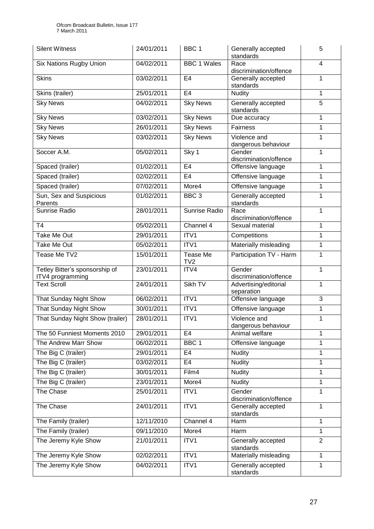| <b>Silent Witness</b>                              | 24/01/2011 | BBC 1               | Generally accepted<br>standards     | 5              |
|----------------------------------------------------|------------|---------------------|-------------------------------------|----------------|
| <b>Six Nations Rugby Union</b>                     | 04/02/2011 | <b>BBC 1 Wales</b>  | Race<br>discrimination/offence      | 4              |
| <b>Skins</b>                                       | 03/02/2011 | E <sub>4</sub>      | Generally accepted<br>standards     | 1              |
| Skins (trailer)                                    | 25/01/2011 | E <sub>4</sub>      | <b>Nudity</b>                       | 1              |
| <b>Sky News</b>                                    | 04/02/2011 | <b>Sky News</b>     | Generally accepted<br>standards     | 5              |
| <b>Sky News</b>                                    | 03/02/2011 | <b>Sky News</b>     | Due accuracy                        | 1              |
| <b>Sky News</b>                                    | 26/01/2011 | <b>Sky News</b>     | Fairness                            | 1              |
| <b>Sky News</b>                                    | 03/02/2011 | <b>Sky News</b>     | Violence and<br>dangerous behaviour | 1              |
| Soccer A.M.                                        | 05/02/2011 | Sky 1               | Gender<br>discrimination/offence    | 1              |
| Spaced (trailer)                                   | 01/02/2011 | E4                  | Offensive language                  | 1              |
| Spaced (trailer)                                   | 02/02/2011 | E <sub>4</sub>      | Offensive language                  | 1              |
| Spaced (trailer)                                   | 07/02/2011 | More4               | Offensive language                  | 1              |
| Sun, Sex and Suspicious<br>Parents                 | 01/02/2011 | BBC <sub>3</sub>    | Generally accepted<br>standards     | 1              |
| <b>Sunrise Radio</b>                               | 28/01/2011 | Sunrise Radio       | Race<br>discrimination/offence      | 1              |
| T <sub>4</sub>                                     | 05/02/2011 | Channel 4           | Sexual material                     | 1              |
| Take Me Out                                        | 29/01/2011 | ITV1                | Competitions                        | 1              |
| Take Me Out                                        | 05/02/2011 | ITV1                | Materially misleading               | 1              |
| Tease Me TV2                                       | 15/01/2011 | Tease Me<br>TV2     | Participation TV - Harm             | 1              |
| Tetley Bitter's sponsorship of<br>ITV4 programming | 23/01/2011 | ITV4                | Gender<br>discrimination/offence    | 1              |
| <b>Text Scroll</b>                                 | 24/01/2011 | Sikh TV             | Advertising/editorial<br>separation | 1              |
| That Sunday Night Show                             | 06/02/2011 | ITV1                | Offensive language                  | 3              |
| That Sunday Night Show                             | 30/01/2011 | ITV1                | Offensive language                  | 1              |
| That Sunday Night Show (trailer)                   | 28/01/2011 | ITV1                | Violence and<br>dangerous behaviour | 1              |
| The 50 Funniest Moments 2010                       | 29/01/2011 | E <sub>4</sub>      | Animal welfare                      | 1              |
| The Andrew Marr Show                               | 06/02/2011 | $\overline{B}$ BC 1 | Offensive language                  | 1              |
| The Big C (trailer)                                | 29/01/2011 | E <sub>4</sub>      | <b>Nudity</b>                       | 1              |
| The Big C (trailer)                                | 03/02/2011 | E <sub>4</sub>      | <b>Nudity</b>                       | 1              |
| The Big C (trailer)                                | 30/01/2011 | Film4               | <b>Nudity</b>                       | 1              |
| The Big C (trailer)                                | 23/01/2011 | More4               | <b>Nudity</b>                       | 1              |
| The Chase                                          | 25/01/2011 | ITV1                | Gender<br>discrimination/offence    | 1              |
| The Chase                                          | 24/01/2011 | ITV1                | Generally accepted<br>standards     | 1              |
| The Family (trailer)                               | 12/11/2010 | Channel 4           | Harm                                | 1              |
| The Family (trailer)                               | 09/11/2010 | More4               | Harm                                | 1              |
| The Jeremy Kyle Show                               | 21/01/2011 | ITV1                | Generally accepted<br>standards     | $\overline{2}$ |
| The Jeremy Kyle Show                               | 02/02/2011 | ITV1                | Materially misleading               | 1              |
| The Jeremy Kyle Show                               | 04/02/2011 | ITV1                | Generally accepted<br>standards     | 1              |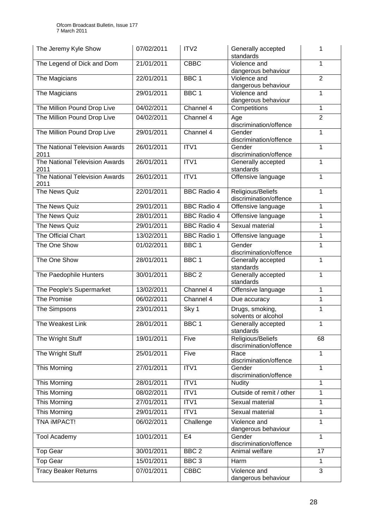| The Jeremy Kyle Show                   | 07/02/2011 | ITV <sub>2</sub>   | Generally accepted<br>standards             | 1              |
|----------------------------------------|------------|--------------------|---------------------------------------------|----------------|
| The Legend of Dick and Dom             | 21/01/2011 | <b>CBBC</b>        | Violence and<br>dangerous behaviour         | 1              |
| The Magicians                          | 22/01/2011 | BBC <sub>1</sub>   | Violence and<br>dangerous behaviour         | $\overline{2}$ |
| The Magicians                          | 29/01/2011 | BBC <sub>1</sub>   | Violence and<br>dangerous behaviour         | 1              |
| The Million Pound Drop Live            | 04/02/2011 | Channel 4          | Competitions                                | 1              |
| The Million Pound Drop Live            | 04/02/2011 | Channel 4          | Age<br>discrimination/offence               | $\overline{2}$ |
| The Million Pound Drop Live            | 29/01/2011 | Channel 4          | Gender<br>discrimination/offence            | 1              |
| The National Television Awards<br>2011 | 26/01/2011 | ITV1               | Gender<br>discrimination/offence            | 1              |
| The National Television Awards<br>2011 | 26/01/2011 | ITV1               | Generally accepted<br>standards             | 1              |
| The National Television Awards<br>2011 | 26/01/2011 | ITV1               | Offensive language                          | 1              |
| The News Quiz                          | 22/01/2011 | <b>BBC Radio 4</b> | Religious/Beliefs<br>discrimination/offence | 1              |
| The News Quiz                          | 29/01/2011 | <b>BBC Radio 4</b> | Offensive language                          | 1              |
| The News Quiz                          | 28/01/2011 | <b>BBC Radio 4</b> | Offensive language                          | 1              |
| The News Quiz                          | 29/01/2011 | <b>BBC</b> Radio 4 | Sexual material                             | 1              |
| The Official Chart                     | 13/02/2011 | <b>BBC Radio 1</b> | Offensive language                          | 1              |
| The One Show                           | 01/02/2011 | BBC <sub>1</sub>   | Gender<br>discrimination/offence            | 1              |
| The One Show                           | 28/01/2011 | BBC <sub>1</sub>   | Generally accepted<br>standards             | 1              |
| The Paedophile Hunters                 | 30/01/2011 | BBC <sub>2</sub>   | Generally accepted<br>standards             | 1              |
| The People's Supermarket               | 13/02/2011 | Channel 4          | Offensive language                          | 1              |
| The Promise                            | 06/02/2011 | Channel 4          | Due accuracy                                | 1              |
| The Simpsons                           | 23/01/2011 | Sky 1              | Drugs, smoking,<br>solvents or alcohol      | 1              |
| The Weakest Link                       | 28/01/2011 | BBC 1              | Generally accepted<br>standards             | 1              |
| The Wright Stuff                       | 19/01/2011 | Five               | Religious/Beliefs<br>discrimination/offence | 68             |
| The Wright Stuff                       | 25/01/2011 | Five               | Race<br>discrimination/offence              | 1              |
| This Morning                           | 27/01/2011 | ITV1               | Gender<br>discrimination/offence            | 1              |
| This Morning                           | 28/01/2011 | ITV1               | <b>Nudity</b>                               | 1              |
| This Morning                           | 08/02/2011 | ITV1               | Outside of remit / other                    | 1              |
| This Morning                           | 27/01/2011 | ITV1               | Sexual material                             | 1              |
| This Morning                           | 29/01/2011 | ITV1               | Sexual material                             | 1              |
| TNA IMPACT!                            | 06/02/2011 | Challenge          | Violence and<br>dangerous behaviour         | 1              |
| <b>Tool Academy</b>                    | 10/01/2011 | E <sub>4</sub>     | Gender<br>discrimination/offence            | 1              |
| <b>Top Gear</b>                        | 30/01/2011 | BBC <sub>2</sub>   | Animal welfare                              | 17             |
| <b>Top Gear</b>                        | 15/01/2011 | BBC <sub>3</sub>   | Harm                                        | 1              |
| <b>Tracy Beaker Returns</b>            | 07/01/2011 | <b>CBBC</b>        | Violence and<br>dangerous behaviour         | 3              |